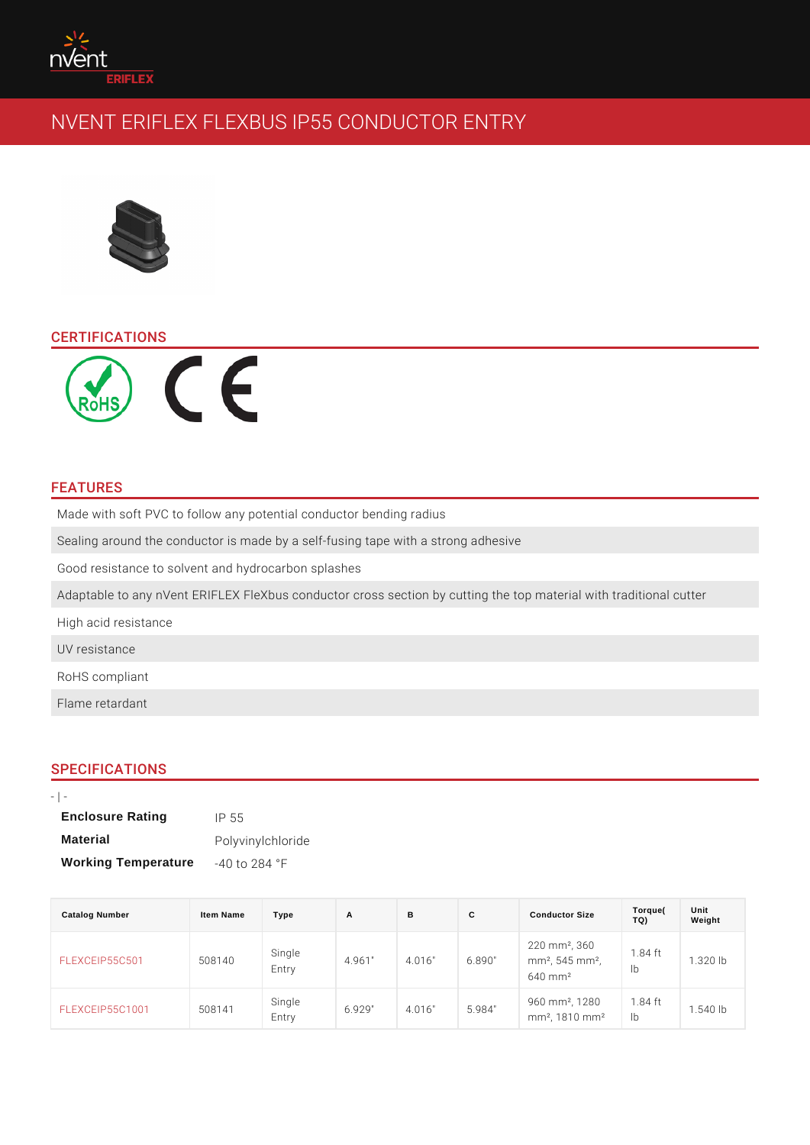# CERTIFICATIONS

### FEATURES

Made with soft PVC to follow any potential conductor bending radius Sealing around the conductor is made by a self-fusing tape with a strong adhes Good resistance to solvent and hydrocarbon splashes Adaptable to any nVent ERIFLEX FleXbus conductor cross section by cutting the High acid resistance UV resistance RoHS compliant Flame retardant

### SPECIFICATIONS

 $\blacksquare$ 

| <b>Enclosure Rating</b>    | $IP$ 55                  |
|----------------------------|--------------------------|
| Material                   | Polyvinylchloride        |
| <b>Working Temperature</b> | $-40$ to 284 $\degree$ F |

| Catalog Number        | Item Name | Type            | A      | B | C             | <b>Conductor Size</b>                                                                       | Torque(<br>TQ) | Unit<br>Weight |  |
|-----------------------|-----------|-----------------|--------|---|---------------|---------------------------------------------------------------------------------------------|----------------|----------------|--|
| FLEXCEIP55C501508140  |           | Single<br>Entry | 4.961" |   |               | 4.016" 6.890" mm <sup>2</sup> , 545 mm <sup>2</sup> , 84 ft 1.320 lb<br>640 mm <sup>2</sup> |                |                |  |
| FLEXCEIP55C1001508141 |           | Single<br>Entry | 6.929" |   | 4.016" 5.984" | 960 mm <sup>2</sup> , 1280.84 ft<br>mm <sup>2</sup> , 1810 mmb <sup>8</sup>                 |                | $1.540$ lb     |  |